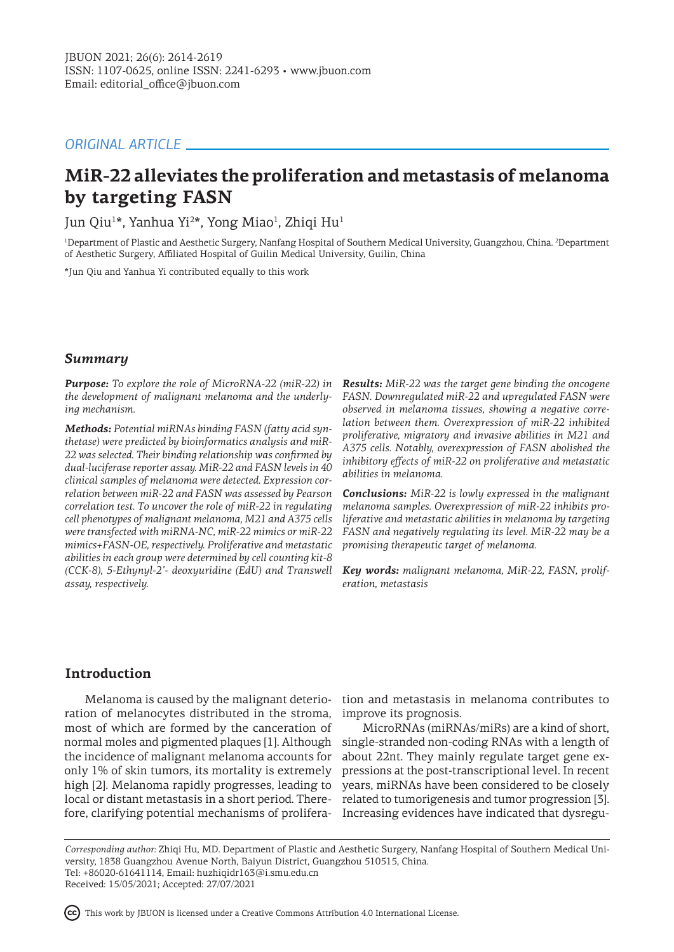# *ORIGINAL ARTICLE*

# **MiR-22 alleviates the proliferation and metastasis of melanoma by targeting FASN**

Jun Qiu<sup>1</sup>\*, Yanhua Yi<sup>2</sup>\*, Yong Miao<sup>1</sup>, Zhiqi Hu<sup>1</sup>

<sup>1</sup>Department of Plastic and Aesthetic Surgery, Nanfang Hospital of Southern Medical University, Guangzhou, China. <sup>2</sup>Department of Aesthetic Surgery, Affiliated Hospital of Guilin Medical University, Guilin, China

\*Jun Qiu and Yanhua Yi contributed equally to this work

# *Summary*

*Purpose: To explore the role of MicroRNA-22 (miR-22) in the development of malignant melanoma and the underlying mechanism.* 

*Methods: Potential miRNAs binding FASN (fatty acid synthetase) were predicted by bioinformatics analysis and miR-22 was selected. Their binding relationship was confirmed by dual-luciferase reporter assay. MiR-22 and FASN levels in 40 clinical samples of melanoma were detected. Expression correlation between miR-22 and FASN was assessed by Pearson correlation test. To uncover the role of miR-22 in regulating cell phenotypes of malignant melanoma, M21 and A375 cells were transfected with miRNA-NC, miR-22 mimics or miR-22 mimics+FASN-OE, respectively. Proliferative and metastatic abilities in each group were determined by cell counting kit-8 (CCK-8), 5-Ethynyl-2'- deoxyuridine (EdU) and Transwell assay, respectively.* 

*Results: MiR-22 was the target gene binding the oncogene FASN. Downregulated miR-22 and upregulated FASN were observed in melanoma tissues, showing a negative correlation between them. Overexpression of miR-22 inhibited proliferative, migratory and invasive abilities in M21 and A375 cells. Notably, overexpression of FASN abolished the inhibitory effects of miR-22 on proliferative and metastatic abilities in melanoma.* 

*Conclusions: MiR-22 is lowly expressed in the malignant melanoma samples. Overexpression of miR-22 inhibits proliferative and metastatic abilities in melanoma by targeting FASN and negatively regulating its level. MiR-22 may be a promising therapeutic target of melanoma.* 

*Key words: malignant melanoma, MiR-22, FASN, proliferation, metastasis* 

# **Introduction**

ration of melanocytes distributed in the stroma, most of which are formed by the canceration of normal moles and pigmented plaques [1]. Although the incidence of malignant melanoma accounts for only 1% of skin tumors, its mortality is extremely high [2]. Melanoma rapidly progresses, leading to local or distant metastasis in a short period. There-

Melanoma is caused by the malignant deterio-tion and metastasis in melanoma contributes to improve its prognosis.

fore, clarifying potential mechanisms of prolifera-Increasing evidences have indicated that dysregu-MicroRNAs (miRNAs/miRs) are a kind of short, single-stranded non-coding RNAs with a length of about 22nt. They mainly regulate target gene expressions at the post-transcriptional level. In recent years, miRNAs have been considered to be closely related to tumorigenesis and tumor progression [3].

*Corresponding author:* Zhiqi Hu, MD. Department of Plastic and Aesthetic Surgery, Nanfang Hospital of Southern Medical University, 1838 Guangzhou Avenue North, Baiyun District, Guangzhou 510515, China. Tel: +86020-61641114, Email: huzhiqidr163@i.smu.edu.cn Received: 15/05/2021; Accepted: 27/07/2021

This work by JBUON is licensed under a Creative Commons Attribution 4.0 International License.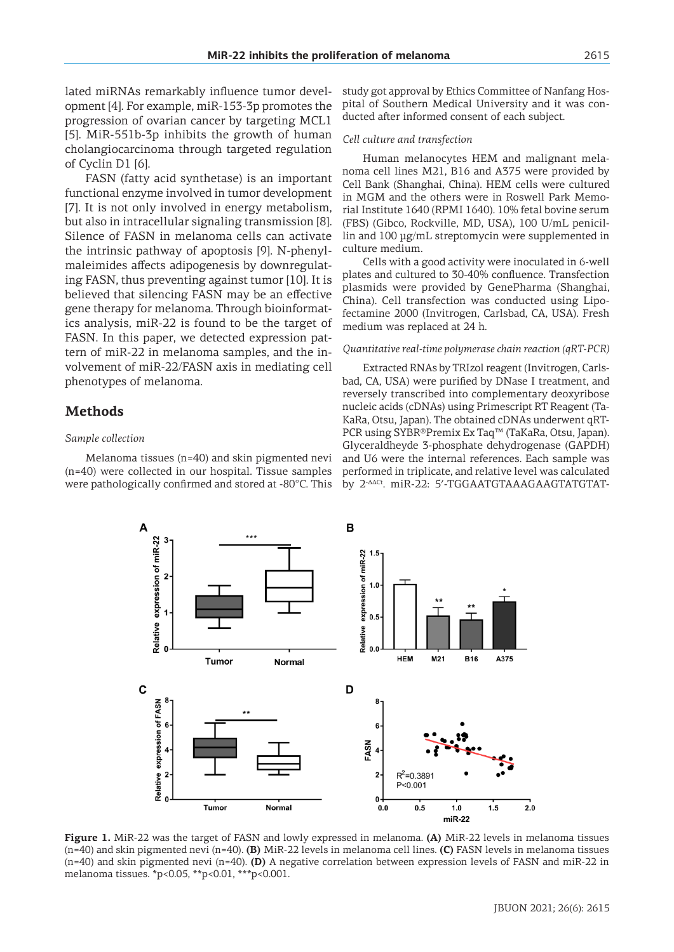lated miRNAs remarkably influence tumor development [4]. For example, miR-153-3p promotes the progression of ovarian cancer by targeting MCL1 [5]. MiR-551b-3p inhibits the growth of human cholangiocarcinoma through targeted regulation of Cyclin D1 [6].

FASN (fatty acid synthetase) is an important functional enzyme involved in tumor development [7]. It is not only involved in energy metabolism, but also in intracellular signaling transmission [8]. Silence of FASN in melanoma cells can activate the intrinsic pathway of apoptosis [9]. N-phenylmaleimides affects adipogenesis by downregulating FASN, thus preventing against tumor [10]. It is believed that silencing FASN may be an effective gene therapy for melanoma. Through bioinformatics analysis, miR-22 is found to be the target of FASN. In this paper, we detected expression pattern of miR-22 in melanoma samples, and the involvement of miR-22/FASN axis in mediating cell phenotypes of melanoma.

## **Methods**

#### *Sample collection*

Melanoma tissues (n=40) and skin pigmented nevi (n=40) were collected in our hospital. Tissue samples were pathologically confirmed and stored at -80°C. This study got approval by Ethics Committee of Nanfang Hospital of Southern Medical University and it was conducted after informed consent of each subject.

#### *Cell culture and transfection*

Human melanocytes HEM and malignant melanoma cell lines M21, B16 and A375 were provided by Cell Bank (Shanghai, China). HEM cells were cultured in MGM and the others were in Roswell Park Memorial Institute 1640 (RPMI 1640). 10% fetal bovine serum (FBS) (Gibco, Rockville, MD, USA), 100 U/mL penicillin and 100 μg/mL streptomycin were supplemented in culture medium.

Cells with a good activity were inoculated in 6-well plates and cultured to 30-40% confluence. Transfection plasmids were provided by GenePharma (Shanghai, China). Cell transfection was conducted using Lipofectamine 2000 (Invitrogen, Carlsbad, CA, USA). Fresh medium was replaced at 24 h.

## *Quantitative real-time polymerase chain reaction (qRT-PCR)*

Extracted RNAs by TRIzol reagent (Invitrogen, Carlsbad, CA, USA) were purified by DNase I treatment, and reversely transcribed into complementary deoxyribose nucleic acids (cDNAs) using Primescript RT Reagent (Ta-KaRa, Otsu, Japan). The obtained cDNAs underwent qRT-PCR using SYBR®Premix Ex Taq™ (TaKaRa, Otsu, Japan). Glyceraldheyde 3-phosphate dehydrogenase (GAPDH) and U6 were the internal references. Each sample was performed in triplicate, and relative level was calculated by 2-ΔΔCt. miR-22: 5ʹ-TGGAATGTAAAGAAGTATGTAT-



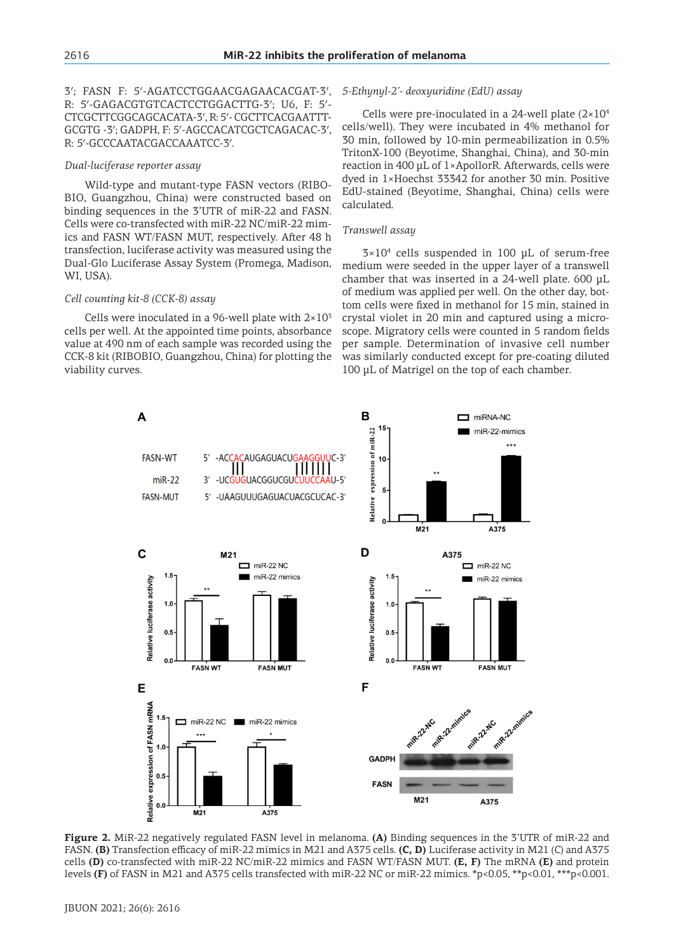3ʹ; FASN F: 5ʹ-AGATCCTGGAACGAGAACACGAT-3ʹ, R: 5ʹ-GAGACGTGTCACTCCTGGACTTG-3ʹ; U6, F: 5ʹ-CTCGCTTCGGCAGCACATA-3ʹ, R: 5ʹ- CGCTTCACGAATTT-GCGTG -3ʹ; GADPH, F: 5ʹ-AGCCACATCGCTCAGACAC-3ʹ, R: 5ʹ-GCCCAATACGACCAAATCC-3ʹ.

#### *Dual-luciferase reporter assay*

Wild-type and mutant-type FASN vectors (RIBO-BIO, Guangzhou, China) were constructed based on binding sequences in the 3'UTR of miR-22 and FASN. Cells were co-transfected with miR-22 NC/miR-22 mimics and FASN WT/FASN MUT, respectively. After 48 h transfection, luciferase activity was measured using the Dual-Glo Luciferase Assay System (Promega, Madison, WI, USA).

### *Cell counting kit-8 (CCK-8) assay*

A

Cells were inoculated in a 96-well plate with  $2\times10^3$ cells per well. At the appointed time points, absorbance value at 490 nm of each sample was recorded using the CCK-8 kit (RIBOBIO, Guangzhou, China) for plotting the viability curves.

#### *5-Ethynyl-2'- deoxyuridine (EdU) assay*

Cells were pre-inoculated in a 24-well plate  $(2\times10^4)$ cells/well). They were incubated in 4% methanol for 30 min, followed by 10-min permeabilization in 0.5% TritonX-100 (Beyotime, Shanghai, China), and 30-min reaction in 400 μL of 1×ApollorR. Afterwards, cells were dyed in 1×Hoechst 33342 for another 30 min. Positive EdU-stained (Beyotime, Shanghai, China) cells were calculated.

#### *Transwell assay*

B

 $22$ 

 $3\times10^4$  cells suspended in 100 µL of serum-free medium were seeded in the upper layer of a transwell chamber that was inserted in a 24-well plate. 600 μL of medium was applied per well. On the other day, bottom cells were fixed in methanol for 15 min, stained in crystal violet in 20 min and captured using a microscope. Migratory cells were counted in 5 random fields per sample. Determination of invasive cell number was similarly conducted except for pre-coating diluted 100 μL of Matrigel on the top of each chamber.

 $m$ iRNA-NC

miR-22-mimics



**Figure 2.** MiR-22 negatively regulated FASN level in melanoma. **(A)** Binding sequences in the 3'UTR of miR-22 and FASN. **(B)** Transfection efficacy of miR-22 mimics in M21 and A375 cells. **(C, D)** Luciferase activity in M21 (C) and A375 cells **(D)** co-transfected with miR-22 NC/miR-22 mimics and FASN WT/FASN MUT. **(E, F)** The mRNA **(E)** and protein levels **(F)** of FASN in M21 and A375 cells transfected with miR-22 NC or miR-22 mimics. \*p<0.05, \*\*p<0.01, \*\*\*p<0.001.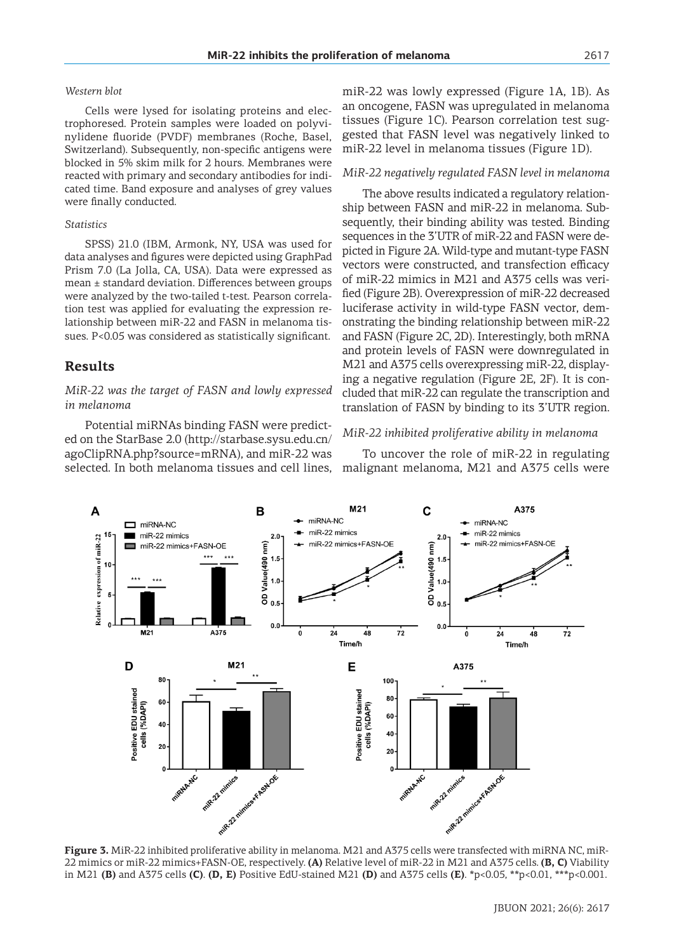#### *Western blot*

Cells were lysed for isolating proteins and electrophoresed. Protein samples were loaded on polyvinylidene fluoride (PVDF) membranes (Roche, Basel, Switzerland). Subsequently, non-specific antigens were blocked in 5% skim milk for 2 hours. Membranes were reacted with primary and secondary antibodies for indicated time. Band exposure and analyses of grey values were finally conducted.

#### *Statistics*

SPSS) 21.0 (IBM, Armonk, NY, USA was used for data analyses and figures were depicted using GraphPad Prism 7.0 (La Jolla, CA, USA). Data were expressed as mean ± standard deviation. Differences between groups were analyzed by the two-tailed t-test. Pearson correlation test was applied for evaluating the expression relationship between miR-22 and FASN in melanoma tissues. P<0.05 was considered as statistically significant.

## **Results**

## *MiR-22 was the target of FASN and lowly expressed in melanoma*

Potential miRNAs binding FASN were predicted on the StarBase 2.0 (http://starbase.sysu.edu.cn/ agoClipRNA.php?source=mRNA), and miR-22 was selected. In both melanoma tissues and cell lines, miR-22 was lowly expressed (Figure 1A, 1B). As an oncogene, FASN was upregulated in melanoma tissues (Figure 1C). Pearson correlation test suggested that FASN level was negatively linked to miR-22 level in melanoma tissues (Figure 1D).

#### *MiR-22 negatively regulated FASN level in melanoma*

The above results indicated a regulatory relationship between FASN and miR-22 in melanoma. Subsequently, their binding ability was tested. Binding sequences in the 3'UTR of miR-22 and FASN were depicted in Figure 2A. Wild-type and mutant-type FASN vectors were constructed, and transfection efficacy of miR-22 mimics in M21 and A375 cells was verified (Figure 2B). Overexpression of miR-22 decreased luciferase activity in wild-type FASN vector, demonstrating the binding relationship between miR-22 and FASN (Figure 2C, 2D). Interestingly, both mRNA and protein levels of FASN were downregulated in M21 and A375 cells overexpressing miR-22, displaying a negative regulation (Figure 2E, 2F). It is concluded that miR-22 can regulate the transcription and translation of FASN by binding to its 3'UTR region.

#### *MiR-22 inhibited proliferative ability in melanoma*

To uncover the role of miR-22 in regulating malignant melanoma, M21 and A375 cells were



**Figure 3.** MiR-22 inhibited proliferative ability in melanoma. M21 and A375 cells were transfected with miRNA NC, miR-22 mimics or miR-22 mimics+FASN-OE, respectively. **(A)** Relative level of miR-22 in M21 and A375 cells. **(B, C)** Viability in M21 **(B)** and A375 cells **(C)**. **(D, E)** Positive EdU-stained M21 **(D)** and A375 cells **(E)**. \*p<0.05, \*\*p<0.01, \*\*\*p<0.001.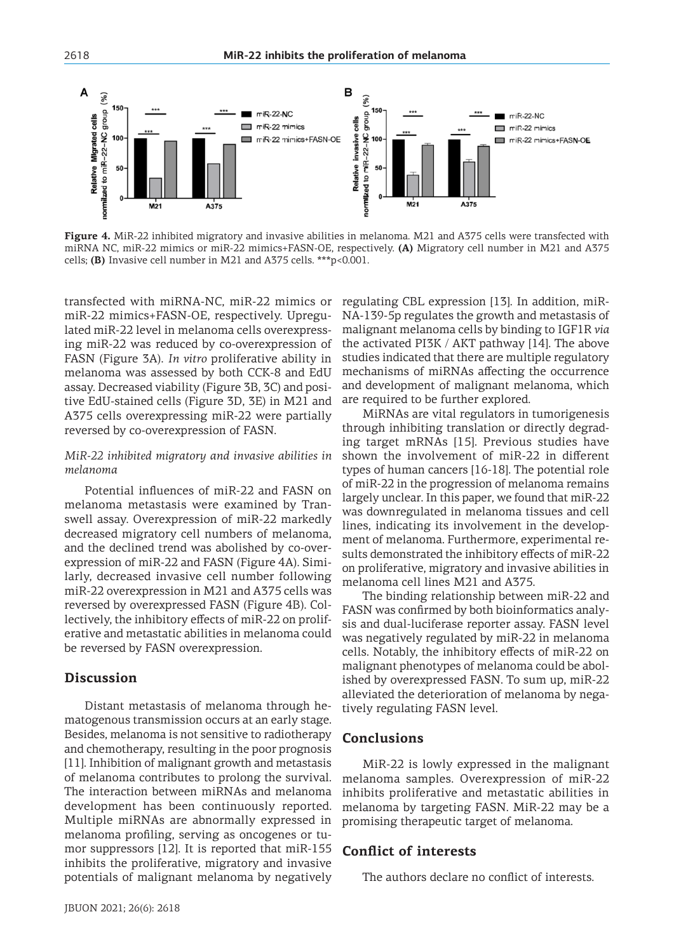

**Figure 4.** MiR-22 inhibited migratory and invasive abilities in melanoma. M21 and A375 cells were transfected with miRNA NC, miR-22 mimics or miR-22 mimics+FASN-OE, respectively. **(A)** Migratory cell number in M21 and A375 cells; **(B)** Invasive cell number in M21 and A375 cells. \*\*\*p<0.001.

transfected with miRNA-NC, miR-22 mimics or miR-22 mimics+FASN-OE, respectively. Upregulated miR-22 level in melanoma cells overexpressing miR-22 was reduced by co-overexpression of FASN (Figure 3A). *In vitro* proliferative ability in melanoma was assessed by both CCK-8 and EdU assay. Decreased viability (Figure 3B, 3C) and positive EdU-stained cells (Figure 3D, 3E) in M21 and A375 cells overexpressing miR-22 were partially reversed by co-overexpression of FASN.

## *MiR-22 inhibited migratory and invasive abilities in melanoma*

Potential influences of miR-22 and FASN on melanoma metastasis were examined by Transwell assay. Overexpression of miR-22 markedly decreased migratory cell numbers of melanoma, and the declined trend was abolished by co-overexpression of miR-22 and FASN (Figure 4A). Similarly, decreased invasive cell number following miR-22 overexpression in M21 and A375 cells was reversed by overexpressed FASN (Figure 4B). Collectively, the inhibitory effects of miR-22 on proliferative and metastatic abilities in melanoma could be reversed by FASN overexpression.

## **Discussion**

Distant metastasis of melanoma through hematogenous transmission occurs at an early stage. Besides, melanoma is not sensitive to radiotherapy and chemotherapy, resulting in the poor prognosis [11]. Inhibition of malignant growth and metastasis of melanoma contributes to prolong the survival. The interaction between miRNAs and melanoma development has been continuously reported. Multiple miRNAs are abnormally expressed in melanoma profiling, serving as oncogenes or tumor suppressors [12]. It is reported that miR-155 inhibits the proliferative, migratory and invasive potentials of malignant melanoma by negatively regulating CBL expression [13]. In addition, miR-NA-139-5p regulates the growth and metastasis of malignant melanoma cells by binding to IGF1R *via*  the activated PI3K / AKT pathway [14]. The above studies indicated that there are multiple regulatory mechanisms of miRNAs affecting the occurrence and development of malignant melanoma, which are required to be further explored.

MiRNAs are vital regulators in tumorigenesis through inhibiting translation or directly degrading target mRNAs [15]. Previous studies have shown the involvement of miR-22 in different types of human cancers [16-18]. The potential role of miR-22 in the progression of melanoma remains largely unclear. In this paper, we found that miR-22 was downregulated in melanoma tissues and cell lines, indicating its involvement in the development of melanoma. Furthermore, experimental results demonstrated the inhibitory effects of miR-22 on proliferative, migratory and invasive abilities in melanoma cell lines M21 and A375.

The binding relationship between miR-22 and FASN was confirmed by both bioinformatics analysis and dual-luciferase reporter assay. FASN level was negatively regulated by miR-22 in melanoma cells. Notably, the inhibitory effects of miR-22 on malignant phenotypes of melanoma could be abolished by overexpressed FASN. To sum up, miR-22 alleviated the deterioration of melanoma by negatively regulating FASN level.

## **Conclusions**

MiR-22 is lowly expressed in the malignant melanoma samples. Overexpression of miR-22 inhibits proliferative and metastatic abilities in melanoma by targeting FASN. MiR-22 may be a promising therapeutic target of melanoma.

# **Conflict of interests**

The authors declare no conflict of interests.